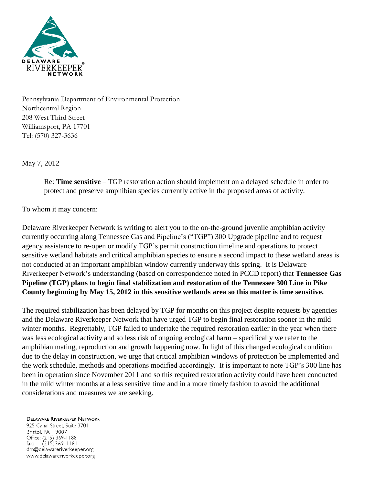

Pennsylvania Department of Environmental Protection Northcentral Region 208 West Third Street Williamsport, PA 17701 Tel: (570) 327-3636

May 7, 2012

Re: **Time sensitive** – TGP restoration action should implement on a delayed schedule in order to protect and preserve amphibian species currently active in the proposed areas of activity.

## To whom it may concern:

Delaware Riverkeeper Network is writing to alert you to the on-the-ground juvenile amphibian activity currently occurring along Tennessee Gas and Pipeline's ("TGP") 300 Upgrade pipeline and to request agency assistance to re-open or modify TGP's permit construction timeline and operations to protect sensitive wetland habitats and critical amphibian species to ensure a second impact to these wetland areas is not conducted at an important amphibian window currently underway this spring. It is Delaware Riverkeeper Network's understanding (based on correspondence noted in PCCD report) that **Tennessee Gas Pipeline (TGP) plans to begin final stabilization and restoration of the Tennessee 300 Line in Pike County beginning by May 15, 2012 in this sensitive wetlands area so this matter is time sensitive.**

The required stabilization has been delayed by TGP for months on this project despite requests by agencies and the Delaware Riverkeeper Network that have urged TGP to begin final restoration sooner in the mild winter months. Regrettably, TGP failed to undertake the required restoration earlier in the year when there was less ecological activity and so less risk of ongoing ecological harm – specifically we refer to the amphibian mating, reproduction and growth happening now. In light of this changed ecological condition due to the delay in construction, we urge that critical amphibian windows of protection be implemented and the work schedule, methods and operations modified accordingly. It is important to note TGP's 300 line has been in operation since November 2011 and so this required restoration activity could have been conducted in the mild winter months at a less sensitive time and in a more timely fashion to avoid the additional considerations and measures we are seeking.

## **DELAWARE RIVERKEEPER NETWORK**

925 Canal Street, Suite 3701 Bristol, PA 19007 Office: (215) 369-1188 fax:  $(215)369 - 1181$ drn@delawareriverkeeper.org www.delawareriverkeeper.org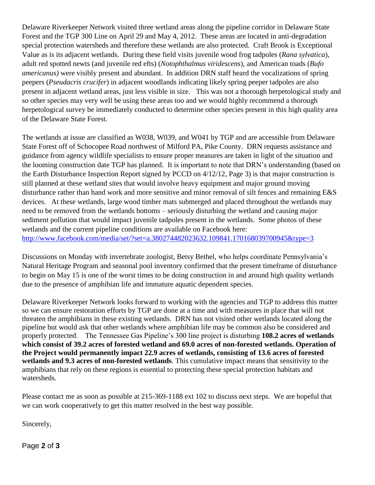Delaware Riverkeeper Network visited three wetland areas along the pipeline corridor in Delaware State Forest and the TGP 300 Line on April 29 and May 4, 2012. These areas are located in anti-degradation special protection watersheds and therefore these wetlands are also protected. Craft Brook is Exceptional Value as is its adjacent wetlands. During these field visits juvenile wood frog tadpoles (*Rana sylvatica*), adult red spotted newts (and juvenile red efts) (*Notophthalmus viridescens*), and American toads (*Bufo americanus)* were visibly present and abundant. In addition DRN staff heard the vocalizations of spring peepers (*Pseudacris crucifer*) in adjacent woodlands indicating likely spring peeper tadpoles are also present in adjacent wetland areas, just less visible in size. This was not a thorough herpetological study and so other species may very well be using these areas too and we would highly recommend a thorough herpetological survey be immediately conducted to determine other species present in this high quality area of the Delaware State Forest.

The wetlands at issue are classified as W038, W039, and W041 by TGP and are accessible from Delaware State Forest off of Schocopee Road northwest of Milford PA, Pike County. DRN requests assistance and guidance from agency wildlife specialists to ensure proper measures are taken in light of the situation and the looming construction date TGP has planned. It is important to note that DRN's understanding (based on the Earth Disturbance Inspection Report signed by PCCD on 4/12/12, Page 3) is that major construction is still planned at these wetland sites that would involve heavy equipment and major ground moving disturbance rather than hand work and more sensitive and minor removal of silt fences and remaining E&S devices. At these wetlands, large wood timber mats submerged and placed throughout the wetlands may need to be removed from the wetlands bottoms – seriously disturbing the wetland and causing major sediment pollution that would impact juvenile tadpoles present in the wetlands. Some photos of these wetlands and the current pipeline conditions are available on Facebook here: <http://www.facebook.com/media/set/?set=a.380274482023632.109841.170168039700945&type=3>

Discussions on Monday with invertebrate zoologist, Betsy Bethel, who helps coordinate Pennsylvania's Natural Heritage Program and seasonal pool inventory confirmed that the present timeframe of disturbance to begin on May 15 is one of the worst times to be doing construction in and around high quality wetlands due to the presence of amphibian life and immature aquatic dependent species.

Delaware Riverkeeper Network looks forward to working with the agencies and TGP to address this matter so we can ensure restoration efforts by TGP are done at a time and with measures in place that will not threaten the amphibians in these existing wetlands. DRN has not visited other wetlands located along the pipeline but would ask that other wetlands where amphibian life may be common also be considered and properly protected. The Tennessee Gas Pipeline's 300 line project is disturbing **108.2 acres of wetlands which consist of 39.2 acres of forested wetland and 69.0 acres of non-forested wetlands. Operation of the Project would permanently impact 22.9 acres of wetlands, consisting of 13.6 acres of forested wetlands and 9.3 acres of non-forested wetlands**. This cumulative impact means that sensitivity to the amphibians that rely on these regions is essential to protecting these special protection habitats and watersheds.

Please contact me as soon as possible at 215-369-1188 ext 102 to discuss next steps. We are hopeful that we can work cooperatively to get this matter resolved in the best way possible.

Sincerely,

Page **2** of **3**